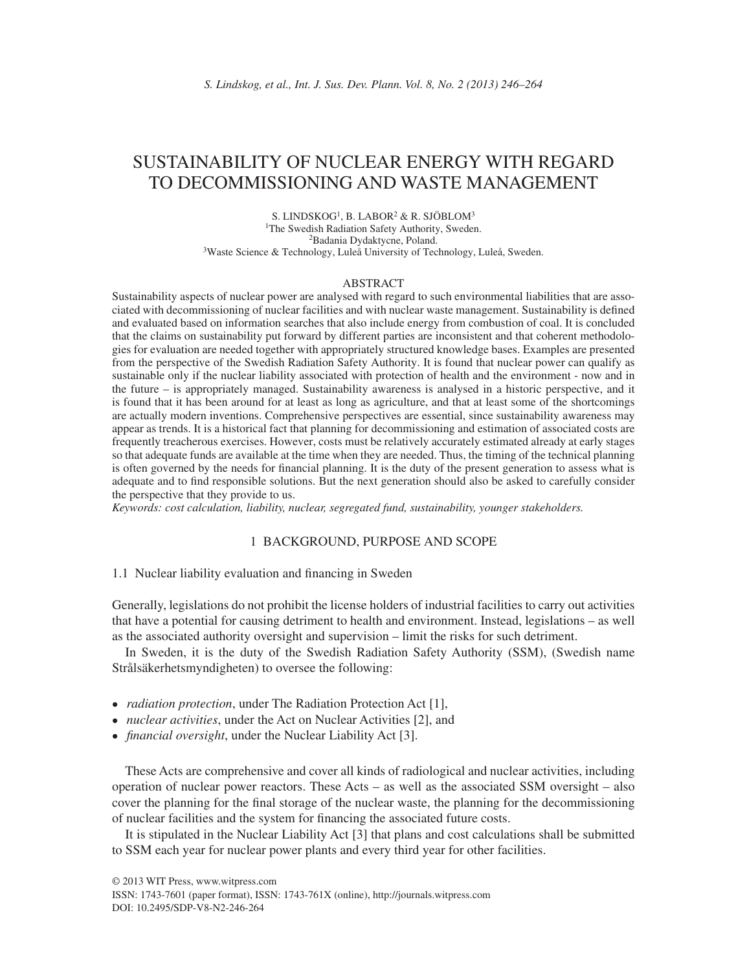# SUSTAINABILITY OF NUCLEAR ENERGY WITH REGARD TO DECOMMISSIONING AND WASTE MANAGEMENT

S. LINDSKOG1, B. LABOR2 & R. SJÖBLOM3 1The Swedish Radiation Safety Authority, Sweden. 2Badania Dydaktycne, Poland. 3Waste Science & Technology, Luleå University of Technology, Luleå, Sweden.

#### ABSTRACT

Sustainability aspects of nuclear power are analysed with regard to such environmental liabilities that are associated with decommissioning of nuclear facilities and with nuclear waste management. Sustainability is defined and evaluated based on information searches that also include energy from combustion of coal. It is concluded that the claims on sustainability put forward by different parties are inconsistent and that coherent methodologies for evaluation are needed together with appropriately structured knowledge bases. Examples are presented from the perspective of the Swedish Radiation Safety Authority. It is found that nuclear power can qualify as sustainable only if the nuclear liability associated with protection of health and the environment - now and in the future – is appropriately managed. Sustainability awareness is analysed in a historic perspective, and it is found that it has been around for at least as long as agriculture, and that at least some of the shortcomings are actually modern inventions. Comprehensive perspectives are essential, since sustainability awareness may appear as trends. It is a historical fact that planning for decommissioning and estimation of associated costs are frequently treacherous exercises. However, costs must be relatively accurately estimated already at early stages so that adequate funds are available at the time when they are needed. Thus, the timing of the technical planning is often governed by the needs for financial planning. It is the duty of the present generation to assess what is adequate and to find responsible solutions. But the next generation should also be asked to carefully consider the perspective that they provide to us.

*Keywords: cost calculation, liability, nuclear, segregated fund, sustainability, younger stakeholders.*

### 1 BACKGROUND, PURPOSE AND SCOPE

### 1.1 Nuclear liability evaluation and financing in Sweden

Generally, legislations do not prohibit the license holders of industrial facilities to carry out activities that have a potential for causing detriment to health and environment. Instead, legislations – as well as the associated authority oversight and supervision – limit the risks for such detriment.

In Sweden, it is the duty of the Swedish Radiation Safety Authority (SSM), (Swedish name Strålsäkerhetsmyndigheten) to oversee the following:

- *radiation protection*, under The Radiation Protection Act [1],
- *nuclear activities*, under the Act on Nuclear Activities [2], and
- *financial oversight*, under the Nuclear Liability Act [3].

These Acts are comprehensive and cover all kinds of radiological and nuclear activities, including operation of nuclear power reactors. These Acts – as well as the associated SSM oversight – also cover the planning for the final storage of the nuclear waste, the planning for the decommissioning of nuclear facilities and the system for financing the associated future costs.

It is stipulated in the Nuclear Liability Act [3] that plans and cost calculations shall be submitted to SSM each year for nuclear power plants and every third year for other facilities.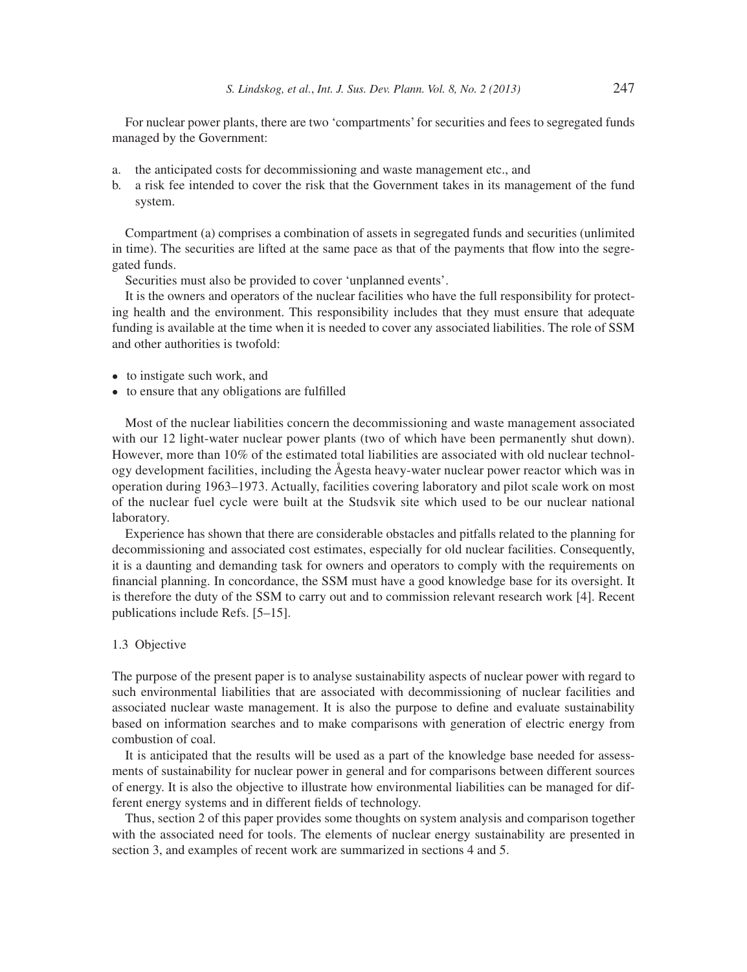For nuclear power plants, there are two 'compartments' for securities and fees to segregated funds managed by the Government:

- a. the anticipated costs for decommissioning and waste management etc., and
- b. a risk fee intended to cover the risk that the Government takes in its management of the fund system.

Compartment (a) comprises a combination of assets in segregated funds and securities (unlimited in time). The securities are lifted at the same pace as that of the payments that flow into the segregated funds.

Securities must also be provided to cover 'unplanned events'.

It is the owners and operators of the nuclear facilities who have the full responsibility for protecting health and the environment. This responsibility includes that they must ensure that adequate funding is available at the time when it is needed to cover any associated liabilities. The role of SSM and other authorities is twofold:

- to instigate such work, and
- to ensure that any obligations are fulfilled

Most of the nuclear liabilities concern the decommissioning and waste management associated with our 12 light-water nuclear power plants (two of which have been permanently shut down). However, more than 10% of the estimated total liabilities are associated with old nuclear technology development facilities, including the Ågesta heavy-water nuclear power reactor which was in operation during 1963–1973. Actually, facilities covering laboratory and pilot scale work on most of the nuclear fuel cycle were built at the Studsvik site which used to be our nuclear national laboratory.

Experience has shown that there are considerable obstacles and pitfalls related to the planning for decommissioning and associated cost estimates, especially for old nuclear facilities. Consequently, it is a daunting and demanding task for owners and operators to comply with the requirements on financial planning. In concordance, the SSM must have a good knowledge base for its oversight. It is therefore the duty of the SSM to carry out and to commission relevant research work [4]. Recent publications include Refs. [5–15].

### 1.3 Objective

The purpose of the present paper is to analyse sustainability aspects of nuclear power with regard to such environmental liabilities that are associated with decommissioning of nuclear facilities and associated nuclear waste management. It is also the purpose to define and evaluate sustainability based on information searches and to make comparisons with generation of electric energy from combustion of coal.

It is anticipated that the results will be used as a part of the knowledge base needed for assessments of sustainability for nuclear power in general and for comparisons between different sources of energy. It is also the objective to illustrate how environmental liabilities can be managed for different energy systems and in different fields of technology.

Thus, section 2 of this paper provides some thoughts on system analysis and comparison together with the associated need for tools. The elements of nuclear energy sustainability are presented in section 3, and examples of recent work are summarized in sections 4 and 5.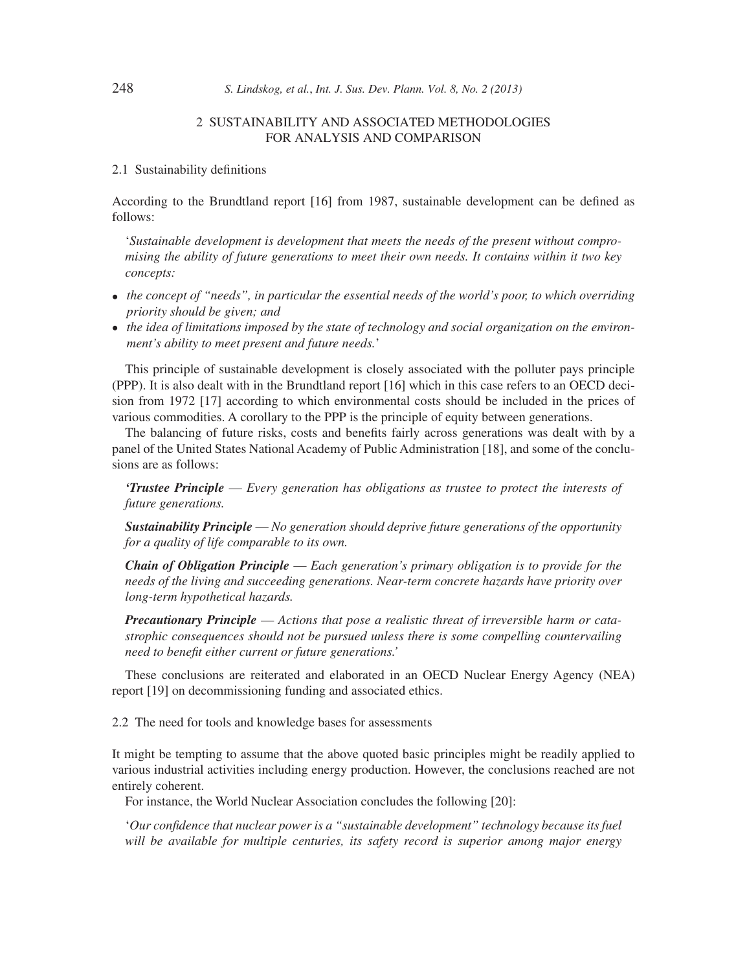### 2 SUSTAINABILITY AND ASSOCIATED METHODOLOGIES FOR ANALYSIS AND COMPARISON

### 2.1 Sustainability definitions

According to the Brundtland report [16] from 1987, sustainable development can be defined as follows:

'*Sustainable development is development that meets the needs of the present without compromising the ability of future generations to meet their own needs. It contains within it two key concepts:*

- *the concept of "needs", in particular the essential needs of the world's poor, to which overriding priority should be given; and*
- *the idea of limitations imposed by the state of technology and social organization on the environment's ability to meet present and future needs.*'

This principle of sustainable development is closely associated with the polluter pays principle (PPP). It is also dealt with in the Brundtland report [16] which in this case refers to an OECD decision from 1972 [17] according to which environmental costs should be included in the prices of various commodities. A corollary to the PPP is the principle of equity between generations.

The balancing of future risks, costs and benefits fairly across generations was dealt with by a panel of the United States National Academy of Public Administration [18], and some of the conclusions are as follows:

*'Trustee Principle* — *Every generation has obligations as trustee to protect the interests of future generations.*

*Sustainability Principle* — *No generation should deprive future generations of the opportunity for a quality of life comparable to its own.*

*Chain of Obligation Principle* — *Each generation's primary obligation is to provide for the needs of the living and succeeding generations. Near-term concrete hazards have priority over long-term hypothetical hazards.*

*Precautionary Principle* — *Actions that pose a realistic threat of irreversible harm or catastrophic consequences should not be pursued unless there is some compelling countervailing need to benefi t either current or future generations.'*

These conclusions are reiterated and elaborated in an OECD Nuclear Energy Agency (NEA) report [19] on decommissioning funding and associated ethics.

2.2 The need for tools and knowledge bases for assessments

It might be tempting to assume that the above quoted basic principles might be readily applied to various industrial activities including energy production. However, the conclusions reached are not entirely coherent.

For instance, the World Nuclear Association concludes the following [20]:

'*Our confidence that nuclear power is a "sustainable development" technology because its fuel will be available for multiple centuries, its safety record is superior among major energy*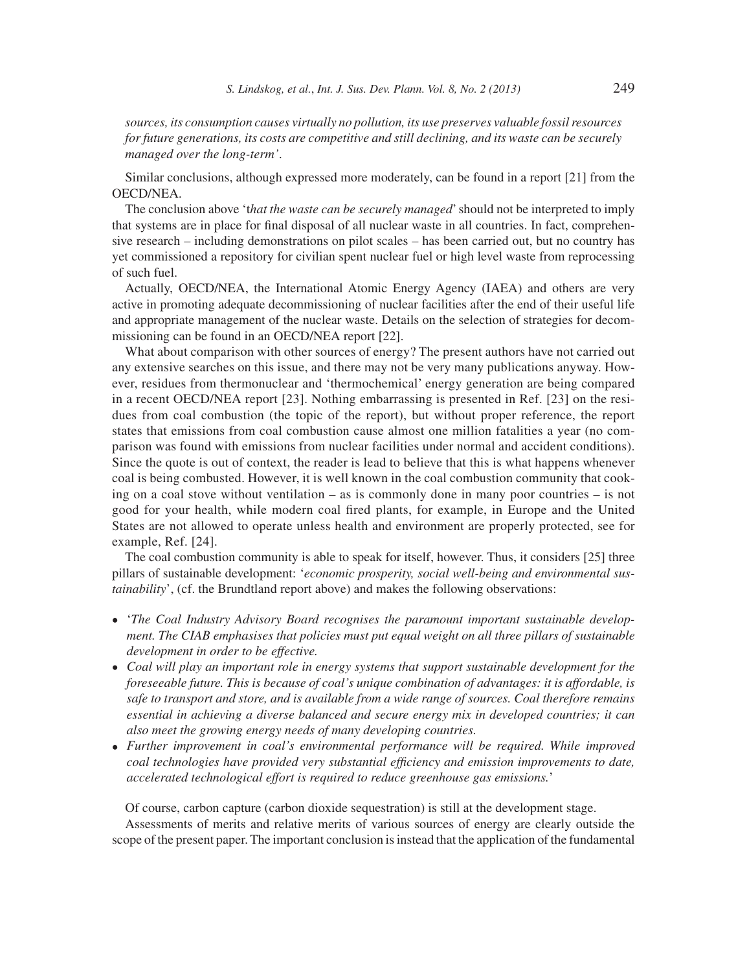*sources, its consumption causes virtually no pollution, its use preserves valuable fossil resources for future generations, its costs are competitive and still declining, and its waste can be securely managed over the long-term'*.

Similar conclusions, although expressed more moderately, can be found in a report [21] from the OECD/NEA.

The conclusion above 't*hat the waste can be securely managed*' should not be interpreted to imply that systems are in place for final disposal of all nuclear waste in all countries. In fact, comprehensive research – including demonstrations on pilot scales – has been carried out, but no country has yet commissioned a repository for civilian spent nuclear fuel or high level waste from reprocessing of such fuel.

Actually, OECD/NEA, the International Atomic Energy Agency (IAEA) and others are very active in promoting adequate decommissioning of nuclear facilities after the end of their useful life and appropriate management of the nuclear waste. Details on the selection of strategies for decommissioning can be found in an OECD/NEA report [22].

What about comparison with other sources of energy? The present authors have not carried out any extensive searches on this issue, and there may not be very many publications anyway. However, residues from thermonuclear and 'thermochemical' energy generation are being compared in a recent OECD/NEA report [23]. Nothing embarrassing is presented in Ref. [23] on the residues from coal combustion (the topic of the report), but without proper reference, the report states that emissions from coal combustion cause almost one million fatalities a year (no comparison was found with emissions from nuclear facilities under normal and accident conditions). Since the quote is out of context, the reader is lead to believe that this is what happens whenever coal is being combusted. However, it is well known in the coal combustion community that cooking on a coal stove without ventilation – as is commonly done in many poor countries – is not good for your health, while modern coal fired plants, for example, in Europe and the United States are not allowed to operate unless health and environment are properly protected, see for example, Ref. [24].

The coal combustion community is able to speak for itself, however. Thus, it considers [25] three pillars of sustainable development: '*economic prosperity, social well-being and environmental sustainability*', (cf. the Brundtland report above) and makes the following observations:

- '*The Coal Industry Advisory Board recognises the paramount important sustainable development. The CIAB emphasises that policies must put equal weight on all three pillars of sustainable development in order to be effective.*
- *Coal will play an important role in energy systems that support sustainable development for the foreseeable future. This is because of coal's unique combination of advantages: it is affordable, is safe to transport and store, and is available from a wide range of sources. Coal therefore remains essential in achieving a diverse balanced and secure energy mix in developed countries; it can also meet the growing energy needs of many developing countries.*
- *Further improvement in coal's environmental performance will be required. While improved coal technologies have provided very substantial efficiency and emission improvements to date, accelerated technological effort is required to reduce greenhouse gas emissions.*'

Of course, carbon capture (carbon dioxide sequestration) is still at the development stage.

Assessments of merits and relative merits of various sources of energy are clearly outside the scope of the present paper. The important conclusion is instead that the application of the fundamental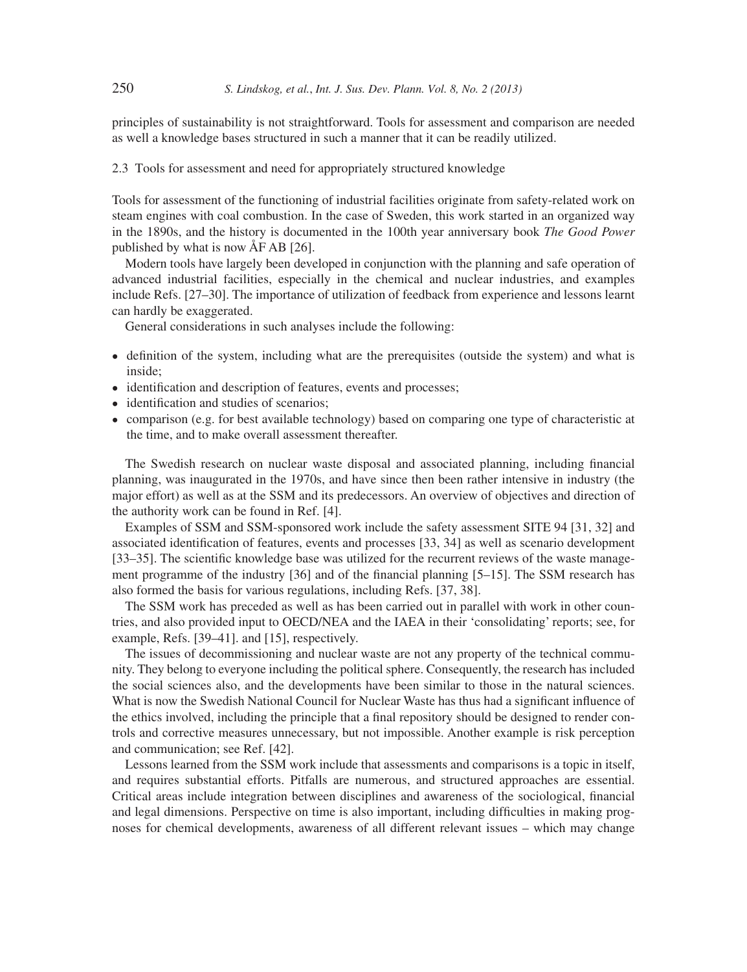principles of sustainability is not straightforward. Tools for assessment and comparison are needed as well a knowledge bases structured in such a manner that it can be readily utilized.

2.3 Tools for assessment and need for appropriately structured knowledge

Tools for assessment of the functioning of industrial facilities originate from safety-related work on steam engines with coal combustion. In the case of Sweden, this work started in an organized way in the 1890s, and the history is documented in the 100th year anniversary book *The Good Power* published by what is now ÅF AB [26].

Modern tools have largely been developed in conjunction with the planning and safe operation of advanced industrial facilities, especially in the chemical and nuclear industries, and examples include Refs. [27–30]. The importance of utilization of feedback from experience and lessons learnt can hardly be exaggerated.

General considerations in such analyses include the following:

- definition of the system, including what are the prerequisites (outside the system) and what is inside;
- identification and description of features, events and processes;
- identification and studies of scenarios;
- comparison (e.g. for best available technology) based on comparing one type of characteristic at the time, and to make overall assessment thereafter.

The Swedish research on nuclear waste disposal and associated planning, including financial planning, was inaugurated in the 1970s, and have since then been rather intensive in industry (the major effort) as well as at the SSM and its predecessors. An overview of objectives and direction of the authority work can be found in Ref. [4].

Examples of SSM and SSM-sponsored work include the safety assessment SITE 94 [31, 32] and associated identification of features, events and processes [33, 34] as well as scenario development [33–35]. The scientific knowledge base was utilized for the recurrent reviews of the waste management programme of the industry  $[36]$  and of the financial planning  $[5-15]$ . The SSM research has also formed the basis for various regulations, including Refs. [37, 38].

The SSM work has preceded as well as has been carried out in parallel with work in other countries, and also provided input to OECD/NEA and the IAEA in their 'consolidating' reports; see, for example, Refs. [39–41]. and [15], respectively.

The issues of decommissioning and nuclear waste are not any property of the technical community. They belong to everyone including the political sphere. Consequently, the research has included the social sciences also, and the developments have been similar to those in the natural sciences. What is now the Swedish National Council for Nuclear Waste has thus had a significant influence of the ethics involved, including the principle that a final repository should be designed to render controls and corrective measures unnecessary, but not impossible. Another example is risk perception and communication; see Ref. [42].

Lessons learned from the SSM work include that assessments and comparisons is a topic in itself, and requires substantial efforts. Pitfalls are numerous, and structured approaches are essential. Critical areas include integration between disciplines and awareness of the sociological, financial and legal dimensions. Perspective on time is also important, including difficulties in making prognoses for chemical developments, awareness of all different relevant issues – which may change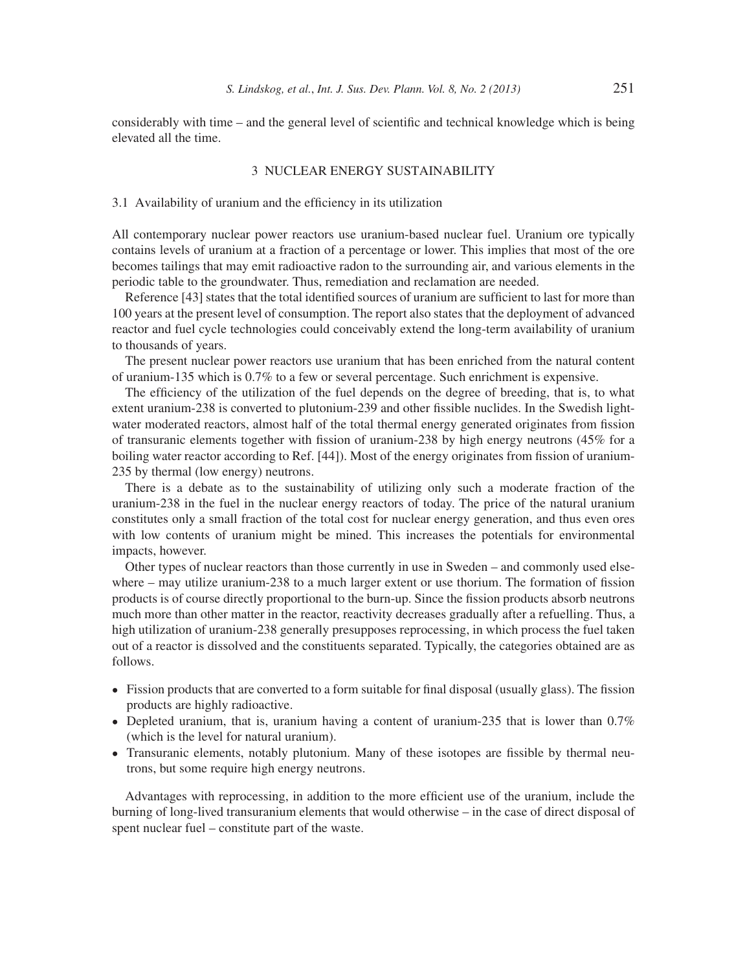considerably with time – and the general level of scientific and technical knowledge which is being elevated all the time.

### 3 NUCLEAR ENERGY SUSTAINABILITY

### 3.1 Availability of uranium and the efficiency in its utilization

All contemporary nuclear power reactors use uranium-based nuclear fuel. Uranium ore typically contains levels of uranium at a fraction of a percentage or lower. This implies that most of the ore becomes tailings that may emit radioactive radon to the surrounding air, and various elements in the periodic table to the groundwater. Thus, remediation and reclamation are needed.

Reference [43] states that the total identified sources of uranium are sufficient to last for more than 100 years at the present level of consumption. The report also states that the deployment of advanced reactor and fuel cycle technologies could conceivably extend the long-term availability of uranium to thousands of years.

The present nuclear power reactors use uranium that has been enriched from the natural content of uranium-135 which is 0.7% to a few or several percentage. Such enrichment is expensive.

The efficiency of the utilization of the fuel depends on the degree of breeding, that is, to what extent uranium-238 is converted to plutonium-239 and other fissible nuclides. In the Swedish lightwater moderated reactors, almost half of the total thermal energy generated originates from fission of transuranic elements together with fission of uranium-238 by high energy neutrons  $(45\%$  for a boiling water reactor according to Ref. [44]). Most of the energy originates from fission of uranium-235 by thermal (low energy) neutrons.

There is a debate as to the sustainability of utilizing only such a moderate fraction of the uranium-238 in the fuel in the nuclear energy reactors of today. The price of the natural uranium constitutes only a small fraction of the total cost for nuclear energy generation, and thus even ores with low contents of uranium might be mined. This increases the potentials for environmental impacts, however.

Other types of nuclear reactors than those currently in use in Sweden – and commonly used elsewhere  $-$  may utilize uranium-238 to a much larger extent or use thorium. The formation of fission products is of course directly proportional to the burn-up. Since the fission products absorb neutrons much more than other matter in the reactor, reactivity decreases gradually after a refuelling. Thus, a high utilization of uranium-238 generally presupposes reprocessing, in which process the fuel taken out of a reactor is dissolved and the constituents separated. Typically, the categories obtained are as follows.

- Fission products that are converted to a form suitable for final disposal (usually glass). The fission products are highly radioactive.
- Depleted uranium, that is, uranium having a content of uranium-235 that is lower than 0.7% (which is the level for natural uranium).
- Transuranic elements, notably plutonium. Many of these isotopes are fissible by thermal neutrons, but some require high energy neutrons.

Advantages with reprocessing, in addition to the more efficient use of the uranium, include the burning of long-lived transuranium elements that would otherwise – in the case of direct disposal of spent nuclear fuel – constitute part of the waste.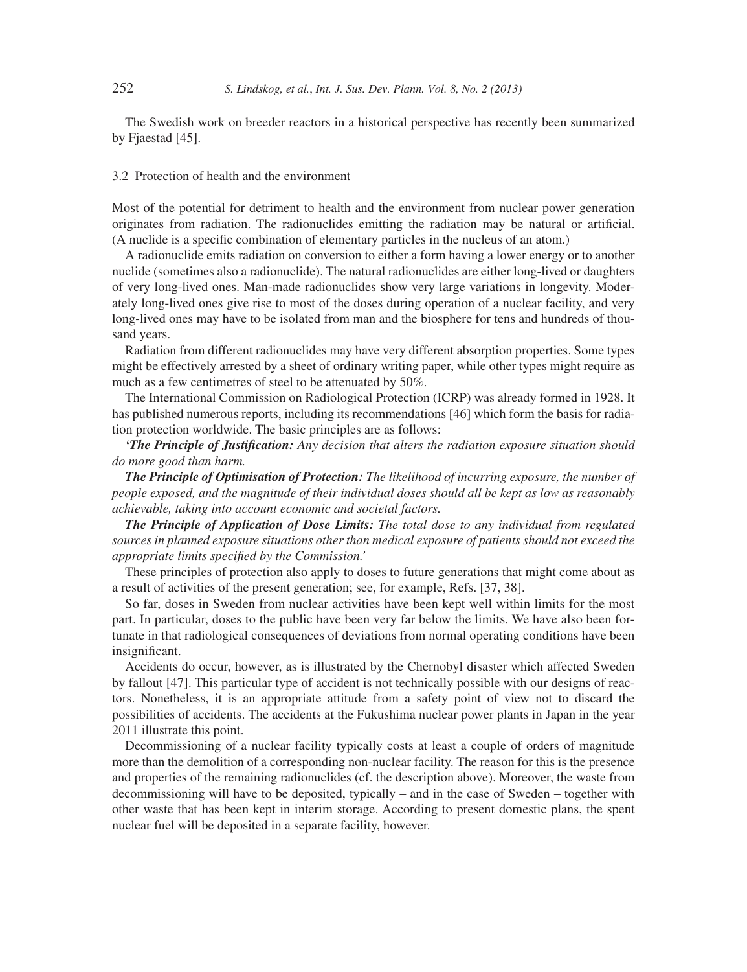The Swedish work on breeder reactors in a historical perspective has recently been summarized by Fjaestad [45].

### 3.2 Protection of health and the environment

Most of the potential for detriment to health and the environment from nuclear power generation originates from radiation. The radionuclides emitting the radiation may be natural or artificial. (A nuclide is a specific combination of elementary particles in the nucleus of an atom.)

A radionuclide emits radiation on conversion to either a form having a lower energy or to another nuclide (sometimes also a radionuclide). The natural radionuclides are either long-lived or daughters of very long-lived ones. Man-made radionuclides show very large variations in longevity. Moderately long-lived ones give rise to most of the doses during operation of a nuclear facility, and very long-lived ones may have to be isolated from man and the biosphere for tens and hundreds of thousand years.

Radiation from different radionuclides may have very different absorption properties. Some types might be effectively arrested by a sheet of ordinary writing paper, while other types might require as much as a few centimetres of steel to be attenuated by 50%.

The International Commission on Radiological Protection (ICRP) was already formed in 1928. It has published numerous reports, including its recommendations [46] which form the basis for radiation protection worldwide. The basic principles are as follows:

*'The Principle of Justification: Any decision that alters the radiation exposure situation should do more good than harm.*

*The Principle of Optimisation of Protection: The likelihood of incurring exposure, the number of people exposed, and the magnitude of their individual doses should all be kept as low as reasonably achievable, taking into account economic and societal factors.*

*The Principle of Application of Dose Limits: The total dose to any individual from regulated sources in planned exposure situations other than medical exposure of patients should not exceed the appropriate limits specified by the Commission.*'

These principles of protection also apply to doses to future generations that might come about as a result of activities of the present generation; see, for example, Refs. [37, 38].

So far, doses in Sweden from nuclear activities have been kept well within limits for the most part. In particular, doses to the public have been very far below the limits. We have also been fortunate in that radiological consequences of deviations from normal operating conditions have been insignificant.

Accidents do occur, however, as is illustrated by the Chernobyl disaster which affected Sweden by fallout [47]. This particular type of accident is not technically possible with our designs of reactors. Nonetheless, it is an appropriate attitude from a safety point of view not to discard the possibilities of accidents. The accidents at the Fukushima nuclear power plants in Japan in the year 2011 illustrate this point.

Decommissioning of a nuclear facility typically costs at least a couple of orders of magnitude more than the demolition of a corresponding non-nuclear facility. The reason for this is the presence and properties of the remaining radionuclides (cf. the description above). Moreover, the waste from decommissioning will have to be deposited, typically – and in the case of Sweden – together with other waste that has been kept in interim storage. According to present domestic plans, the spent nuclear fuel will be deposited in a separate facility, however.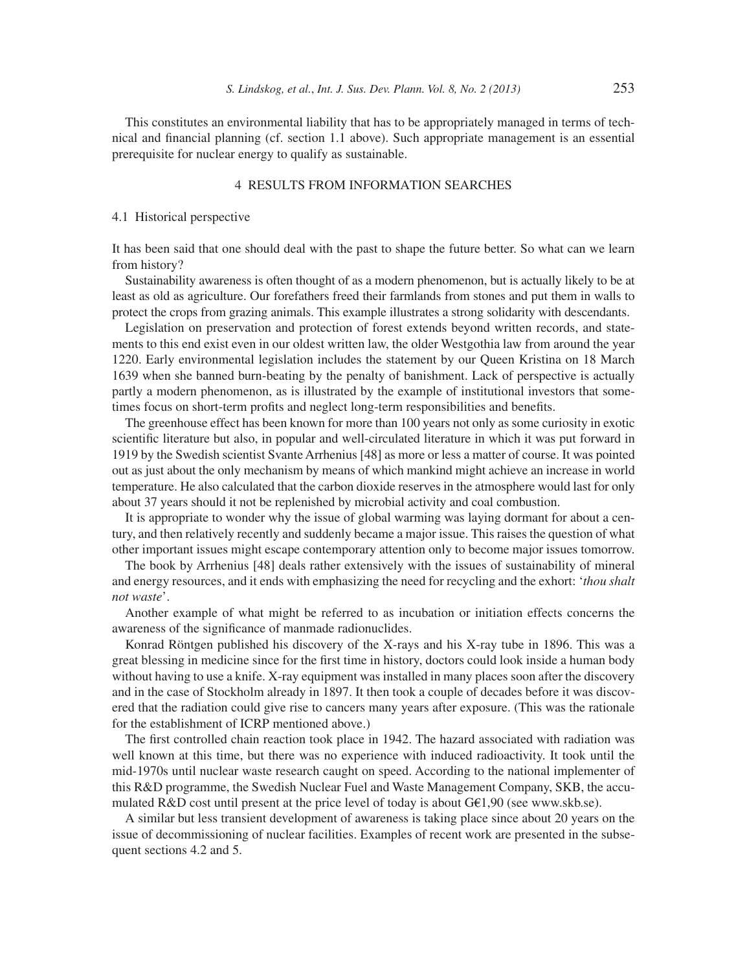This constitutes an environmental liability that has to be appropriately managed in terms of technical and financial planning (cf. section 1.1 above). Such appropriate management is an essential prerequisite for nuclear energy to qualify as sustainable.

## 4 RESULTS FROM INFORMATION SEARCHES

### 4.1 Historical perspective

It has been said that one should deal with the past to shape the future better. So what can we learn from history?

Sustainability awareness is often thought of as a modern phenomenon, but is actually likely to be at least as old as agriculture. Our forefathers freed their farmlands from stones and put them in walls to protect the crops from grazing animals. This example illustrates a strong solidarity with descendants.

Legislation on preservation and protection of forest extends beyond written records, and statements to this end exist even in our oldest written law, the older Westgothia law from around the year 1220. Early environmental legislation includes the statement by our Queen Kristina on 18 March 1639 when she banned burn-beating by the penalty of banishment. Lack of perspective is actually partly a modern phenomenon, as is illustrated by the example of institutional investors that sometimes focus on short-term profits and neglect long-term responsibilities and benefits.

The greenhouse effect has been known for more than 100 years not only as some curiosity in exotic scientific literature but also, in popular and well-circulated literature in which it was put forward in 1919 by the Swedish scientist Svante Arrhenius [48] as more or less a matter of course. It was pointed out as just about the only mechanism by means of which mankind might achieve an increase in world temperature. He also calculated that the carbon dioxide reserves in the atmosphere would last for only about 37 years should it not be replenished by microbial activity and coal combustion.

It is appropriate to wonder why the issue of global warming was laying dormant for about a century, and then relatively recently and suddenly became a major issue. This raises the question of what other important issues might escape contemporary attention only to become major issues tomorrow.

The book by Arrhenius [48] deals rather extensively with the issues of sustainability of mineral and energy resources, and it ends with emphasizing the need for recycling and the exhort: '*thou shalt not waste*'.

Another example of what might be referred to as incubation or initiation effects concerns the awareness of the significance of manmade radionuclides.

Konrad Röntgen published his discovery of the X-rays and his X-ray tube in 1896. This was a great blessing in medicine since for the first time in history, doctors could look inside a human body without having to use a knife. X-ray equipment was installed in many places soon after the discovery and in the case of Stockholm already in 1897. It then took a couple of decades before it was discovered that the radiation could give rise to cancers many years after exposure. (This was the rationale for the establishment of ICRP mentioned above.)

The first controlled chain reaction took place in 1942. The hazard associated with radiation was well known at this time, but there was no experience with induced radioactivity. It took until the mid-1970s until nuclear waste research caught on speed. According to the national implementer of this R&D programme, the Swedish Nuclear Fuel and Waste Management Company, SKB, the accumulated  $R&D$  cost until present at the price level of today is about  $GE1,90$  (see www.skb.se).

A similar but less transient development of awareness is taking place since about 20 years on the issue of decommissioning of nuclear facilities. Examples of recent work are presented in the subsequent sections 4.2 and 5.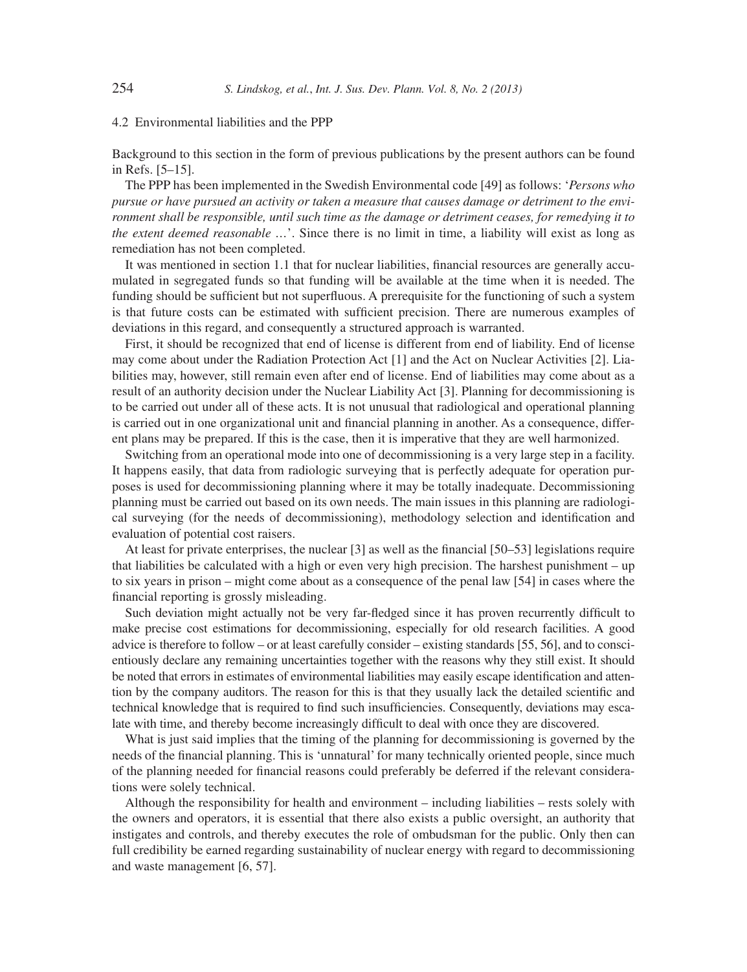4.2 Environmental liabilities and the PPP

Background to this section in the form of previous publications by the present authors can be found in Refs. [5–15].

The PPP has been implemented in the Swedish Environmental code [49] as follows: '*Persons who pursue or have pursued an activity or taken a measure that causes damage or detriment to the environment shall be responsible, until such time as the damage or detriment ceases, for remedying it to the extent deemed reasonable ...*'. Since there is no limit in time, a liability will exist as long as remediation has not been completed.

It was mentioned in section 1.1 that for nuclear liabilities, financial resources are generally accumulated in segregated funds so that funding will be available at the time when it is needed. The funding should be sufficient but not superfluous. A prerequisite for the functioning of such a system is that future costs can be estimated with sufficient precision. There are numerous examples of deviations in this regard, and consequently a structured approach is warranted.

First, it should be recognized that end of license is different from end of liability. End of license may come about under the Radiation Protection Act [1] and the Act on Nuclear Activities [2]. Liabilities may, however, still remain even after end of license. End of liabilities may come about as a result of an authority decision under the Nuclear Liability Act [3]. Planning for decommissioning is to be carried out under all of these acts. It is not unusual that radiological and operational planning is carried out in one organizational unit and financial planning in another. As a consequence, different plans may be prepared. If this is the case, then it is imperative that they are well harmonized.

Switching from an operational mode into one of decommissioning is a very large step in a facility. It happens easily, that data from radiologic surveying that is perfectly adequate for operation purposes is used for decommissioning planning where it may be totally inadequate. Decommissioning planning must be carried out based on its own needs. The main issues in this planning are radiological surveying (for the needs of decommissioning), methodology selection and identification and evaluation of potential cost raisers.

At least for private enterprises, the nuclear  $[3]$  as well as the financial  $[50-53]$  legislations require that liabilities be calculated with a high or even very high precision. The harshest punishment – up to six years in prison – might come about as a consequence of the penal law [54] in cases where the financial reporting is grossly misleading.

Such deviation might actually not be very far-fledged since it has proven recurrently difficult to make precise cost estimations for decommissioning, especially for old research facilities. A good advice is therefore to follow – or at least carefully consider – existing standards [55, 56], and to conscientiously declare any remaining uncertainties together with the reasons why they still exist. It should be noted that errors in estimates of environmental liabilities may easily escape identification and attention by the company auditors. The reason for this is that they usually lack the detailed scientific and technical knowledge that is required to find such insufficiencies. Consequently, deviations may escalate with time, and thereby become increasingly difficult to deal with once they are discovered.

What is just said implies that the timing of the planning for decommissioning is governed by the needs of the financial planning. This is 'unnatural' for many technically oriented people, since much of the planning needed for financial reasons could preferably be deferred if the relevant considerations were solely technical.

Although the responsibility for health and environment – including liabilities – rests solely with the owners and operators, it is essential that there also exists a public oversight, an authority that instigates and controls, and thereby executes the role of ombudsman for the public. Only then can full credibility be earned regarding sustainability of nuclear energy with regard to decommissioning and waste management [6, 57].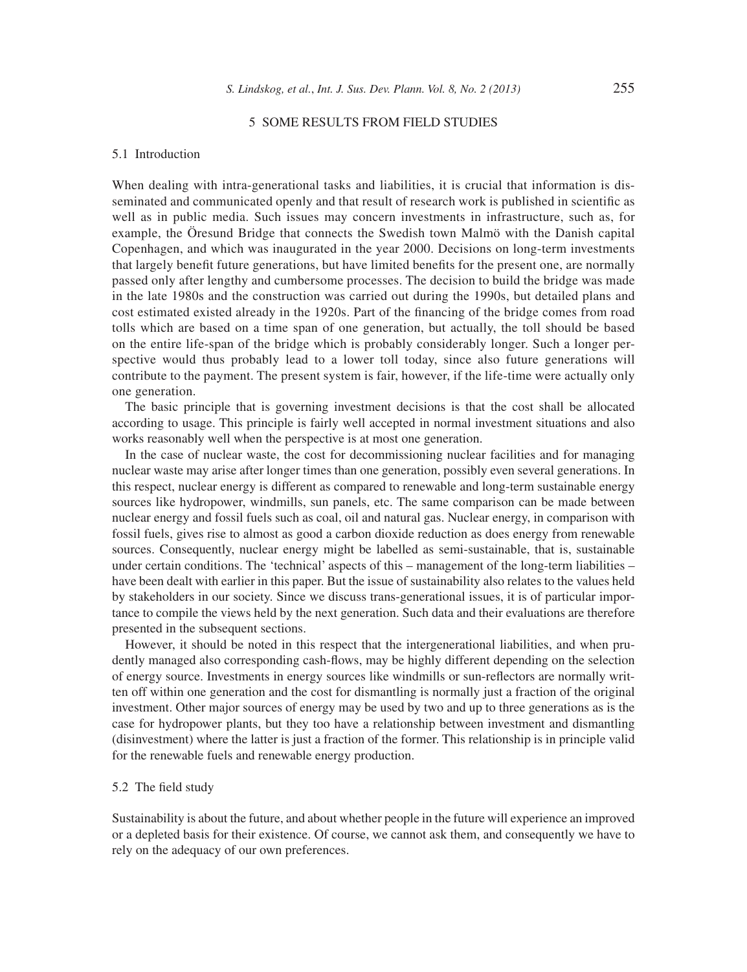### 5 SOME RESULTS FROM FIELD STUDIES

#### 5.1 Introduction

When dealing with intra-generational tasks and liabilities, it is crucial that information is disseminated and communicated openly and that result of research work is published in scientific as well as in public media. Such issues may concern investments in infrastructure, such as, for example, the Öresund Bridge that connects the Swedish town Malmö with the Danish capital Copenhagen, and which was inaugurated in the year 2000. Decisions on long-term investments that largely benefit future generations, but have limited benefits for the present one, are normally passed only after lengthy and cumbersome processes. The decision to build the bridge was made in the late 1980s and the construction was carried out during the 1990s, but detailed plans and cost estimated existed already in the 1920s. Part of the financing of the bridge comes from road tolls which are based on a time span of one generation, but actually, the toll should be based on the entire life-span of the bridge which is probably considerably longer. Such a longer perspective would thus probably lead to a lower toll today, since also future generations will contribute to the payment. The present system is fair, however, if the life-time were actually only one generation.

The basic principle that is governing investment decisions is that the cost shall be allocated according to usage. This principle is fairly well accepted in normal investment situations and also works reasonably well when the perspective is at most one generation.

In the case of nuclear waste, the cost for decommissioning nuclear facilities and for managing nuclear waste may arise after longer times than one generation, possibly even several generations. In this respect, nuclear energy is different as compared to renewable and long-term sustainable energy sources like hydropower, windmills, sun panels, etc. The same comparison can be made between nuclear energy and fossil fuels such as coal, oil and natural gas. Nuclear energy, in comparison with fossil fuels, gives rise to almost as good a carbon dioxide reduction as does energy from renewable sources. Consequently, nuclear energy might be labelled as semi-sustainable, that is, sustainable under certain conditions. The 'technical' aspects of this – management of the long-term liabilities – have been dealt with earlier in this paper. But the issue of sustainability also relates to the values held by stakeholders in our society. Since we discuss trans-generational issues, it is of particular importance to compile the views held by the next generation. Such data and their evaluations are therefore presented in the subsequent sections.

However, it should be noted in this respect that the intergenerational liabilities, and when prudently managed also corresponding cash-flows, may be highly different depending on the selection of energy source. Investments in energy sources like windmills or sun-reflectors are normally written off within one generation and the cost for dismantling is normally just a fraction of the original investment. Other major sources of energy may be used by two and up to three generations as is the case for hydropower plants, but they too have a relationship between investment and dismantling (disinvestment) where the latter is just a fraction of the former. This relationship is in principle valid for the renewable fuels and renewable energy production.

### 5.2 The field study

Sustainability is about the future, and about whether people in the future will experience an improved or a depleted basis for their existence. Of course, we cannot ask them, and consequently we have to rely on the adequacy of our own preferences.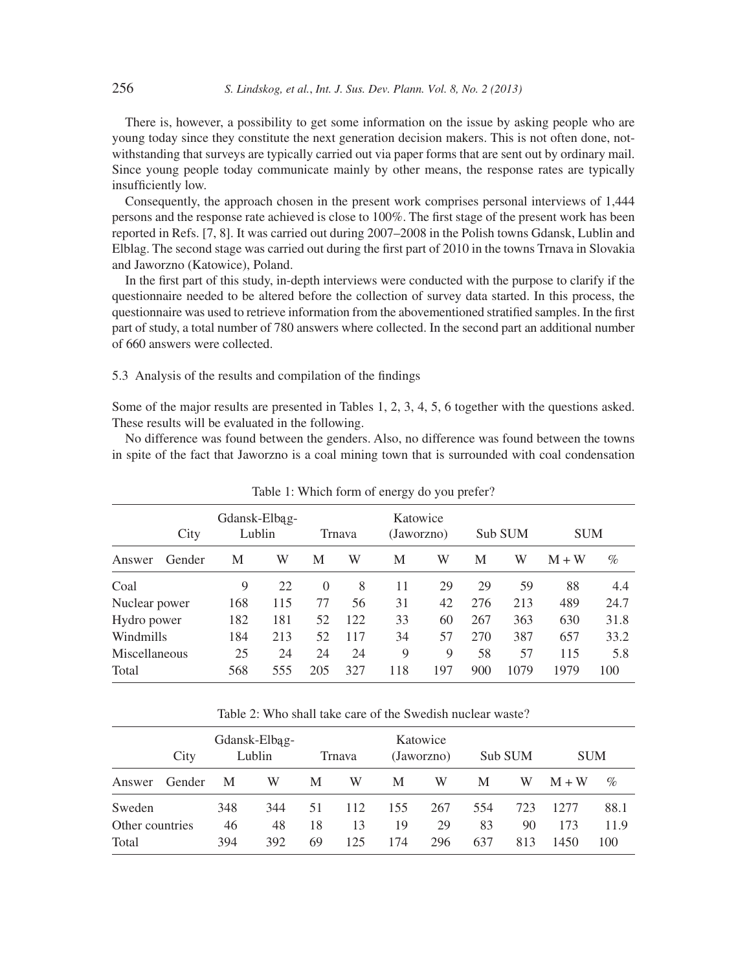There is, however, a possibility to get some information on the issue by asking people who are young today since they constitute the next generation decision makers. This is not often done, notwithstanding that surveys are typically carried out via paper forms that are sent out by ordinary mail. Since young people today communicate mainly by other means, the response rates are typically insufficiently low.

Consequently, the approach chosen in the present work comprises personal interviews of 1,444 persons and the response rate achieved is close to 100%. The first stage of the present work has been reported in Refs. [7, 8]. It was carried out during 2007–2008 in the Polish towns Gdansk, Lublin and Elblag. The second stage was carried out during the first part of 2010 in the towns Trnava in Slovakia and Jaworzno (Katowice), Poland.

In the first part of this study, in-depth interviews were conducted with the purpose to clarify if the questionnaire needed to be altered before the collection of survey data started. In this process, the questionnaire was used to retrieve information from the abovementioned stratified samples. In the first part of study, a total number of 780 answers where collected. In the second part an additional number of 660 answers were collected.

### 5.3 Analysis of the results and compilation of the findings

Some of the major results are presented in Tables 1, 2, 3, 4, 5, 6 together with the questions asked. These results will be evaluated in the following.

No difference was found between the genders. Also, no difference was found between the towns in spite of the fact that Jaworzno is a coal mining town that is surrounded with coal condensation

|               |        |                         | rable 1. Which form of chergy do you prefer: |          |        |                        |     |     |         |            |      |
|---------------|--------|-------------------------|----------------------------------------------|----------|--------|------------------------|-----|-----|---------|------------|------|
|               | City   | Gdansk-Elbag-<br>Lublin |                                              |          | Trnava | Katowice<br>(Jaworzno) |     |     | Sub SUM | <b>SUM</b> |      |
| Answer        | Gender | M                       | W                                            | M        | W      | M                      | W   | M   | W       | $M + W$    | $\%$ |
| Coal          |        | 9                       | 22                                           | $\Omega$ | 8      | 11                     | 29  | 29  | 59      | 88         | 4.4  |
| Nuclear power |        | 168                     | 115                                          | 77       | 56     | 31                     | 42  | 276 | 213     | 489        | 24.7 |
| Hydro power   |        | 182                     | 181                                          | 52       | 122    | 33                     | 60  | 267 | 363     | 630        | 31.8 |
| Windmills     |        | 184                     | 213                                          | 52       | 117    | 34                     | 57  | 270 | 387     | 657        | 33.2 |
| Miscellaneous |        | 25                      | 24                                           | 24       | 24     | 9                      | 9   | 58  | 57      | 115        | 5.8  |
| Total         |        | 568                     | 555                                          | 205      | 327    | 118                    | 197 | 900 | 1079    | 1979       | 100  |

Table 1: Which form of energy do you prefer?

Table 2: Who shall take care of the Swedish nuclear waste?

|                 | City   | Gdansk-Elbag-<br>Lublin |     |    | Trnava |     | Katowice<br>(Jaworzno) |     | Sub SUM | <b>SUM</b> |      |
|-----------------|--------|-------------------------|-----|----|--------|-----|------------------------|-----|---------|------------|------|
| Answer          | Gender | M                       | W   | М  | W      | M   | W                      | М   | W       | $M + W$    | %    |
| Sweden          |        | 348                     | 344 | 51 | 112    | 155 | 267                    | 554 | 723     | 12.77      | 88.1 |
| Other countries |        | 46                      | 48  | 18 | 13     | 19  | 29                     | 83  | 90      | 173        | 11.9 |
| Total           |        | 394                     | 392 | 69 | 125    | 174 | 296                    | 637 | 813     | 1450       | 100  |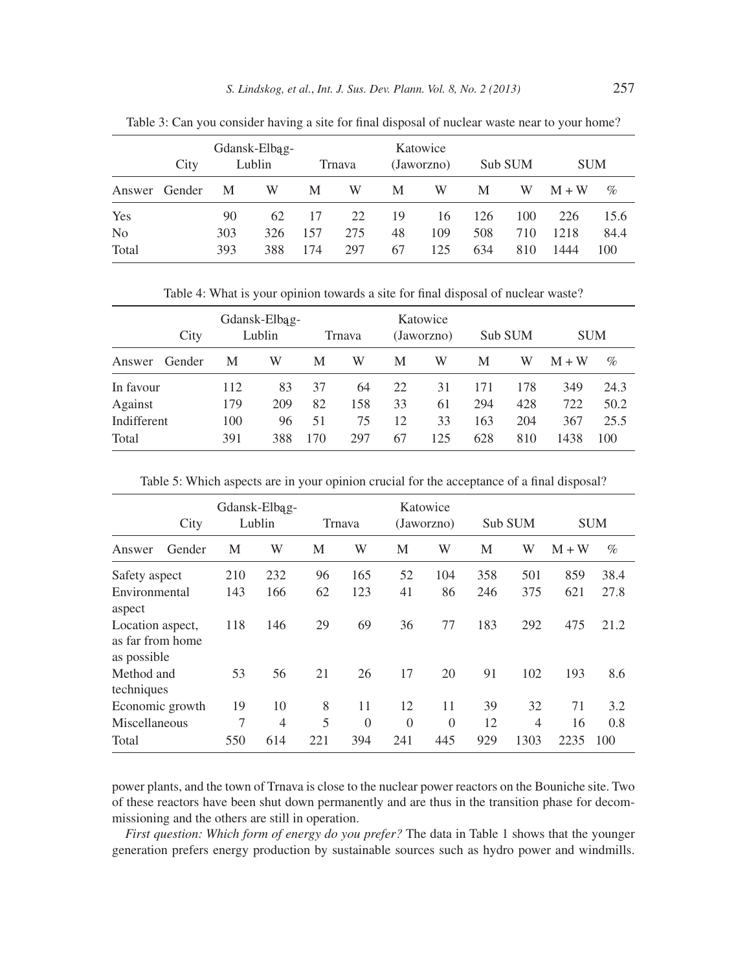|                | City | Gdansk-Elbag-<br>Lublin |     |     | Trnava |    | Katowice<br>(Jaworzno) |     | Sub SUM |         | <b>SUM</b> |  |
|----------------|------|-------------------------|-----|-----|--------|----|------------------------|-----|---------|---------|------------|--|
| Answer Gender  |      | M                       | W   | M   | W      | M  | W                      | M   | W       | $M + W$ | $\%$       |  |
| Yes            |      | 90                      | 62  | 17  | 22     | 19 | 16                     | 126 | 100     | 226     | 15.6       |  |
| N <sub>0</sub> |      | 303                     | 326 | 157 | 275    | 48 | 109                    | 508 | 710     | 1218    | 84.4       |  |
| Total          |      | 393                     | 388 | 174 | 297    | 67 | 125                    | 634 | 810     | 1444    | 100        |  |

Table 3: Can you consider having a site for final disposal of nuclear waste near to your home?

Table 4: What is your opinion towards a site for final disposal of nuclear waste?

|             | City   |     | Gdansk-Elbag-<br>Lublin |     | Trnava |    | Katowice<br>(Jaworzno) |     | Sub SUM | <b>SUM</b> |      |
|-------------|--------|-----|-------------------------|-----|--------|----|------------------------|-----|---------|------------|------|
| Answer      | Gender | М   | W                       | М   | W      | M  | W                      | M   | W       | $M + W$    | $\%$ |
| In favour   |        | 112 | 83                      | 37  | 64     | 22 | 31                     | 171 | 178     | 349        | 24.3 |
| Against     |        | 179 | 209                     | 82  | 158    | 33 | 61                     | 294 | 428     | 722        | 50.2 |
| Indifferent |        | 100 | 96                      | 51  | 75     | 12 | 33                     | 163 | 204     | 367        | 25.5 |
| Total       |        | 391 | 388                     | 170 | 297    | 67 | 125                    | 628 | 810     | 1438       | 100  |

|  | Table 5: Which aspects are in your opinion crucial for the acceptance of a final disposal? |  |  |  |  |  |
|--|--------------------------------------------------------------------------------------------|--|--|--|--|--|
|--|--------------------------------------------------------------------------------------------|--|--|--|--|--|

|                                                     | City   | Gdansk-Elbag-<br>Lublin |                |     | Trnava   |          | Katowice<br>(Jaworzno) |     | Sub SUM |       | <b>SUM</b> |  |
|-----------------------------------------------------|--------|-------------------------|----------------|-----|----------|----------|------------------------|-----|---------|-------|------------|--|
| Answer                                              | Gender | M                       | W              | M   | W        | M        | W                      | М   | W       | $M+W$ | $\%$       |  |
| Safety aspect                                       |        | 210                     | 232            | 96  | 165      | 52       | 104                    | 358 | 501     | 859   | 38.4       |  |
| Environmental<br>aspect                             |        | 143                     | 166            | 62  | 123      | 41       | 86                     | 246 | 375     | 621   | 27.8       |  |
| Location aspect,<br>as far from home<br>as possible |        | 118                     | 146            | 29  | 69       | 36       | 77                     | 183 | 292     | 475   | 21.2       |  |
| Method and<br>techniques                            |        | 53                      | 56             | 21  | 26       | 17       | 20                     | 91  | 102     | 193   | 8.6        |  |
| Economic growth                                     |        | 19                      | 10             | 8   | 11       | 12       | 11                     | 39  | 32      | 71    | 3.2        |  |
| Miscellaneous                                       |        | 7                       | $\overline{4}$ | 5   | $\Omega$ | $\Omega$ | $\Omega$               | 12  | 4       | 16    | 0.8        |  |
| Total                                               |        | 550                     | 614            | 221 | 394      | 241      | 445                    | 929 | 1303    | 2235  | 100        |  |

power plants, and the town of Trnava is close to the nuclear power reactors on the Bouniche site. Two of these reactors have been shut down permanently and are thus in the transition phase for decommissioning and the others are still in operation.

*First question: Which form of energy do you prefer?* The data in Table 1 shows that the younger generation prefers energy production by sustainable sources such as hydro power and windmills.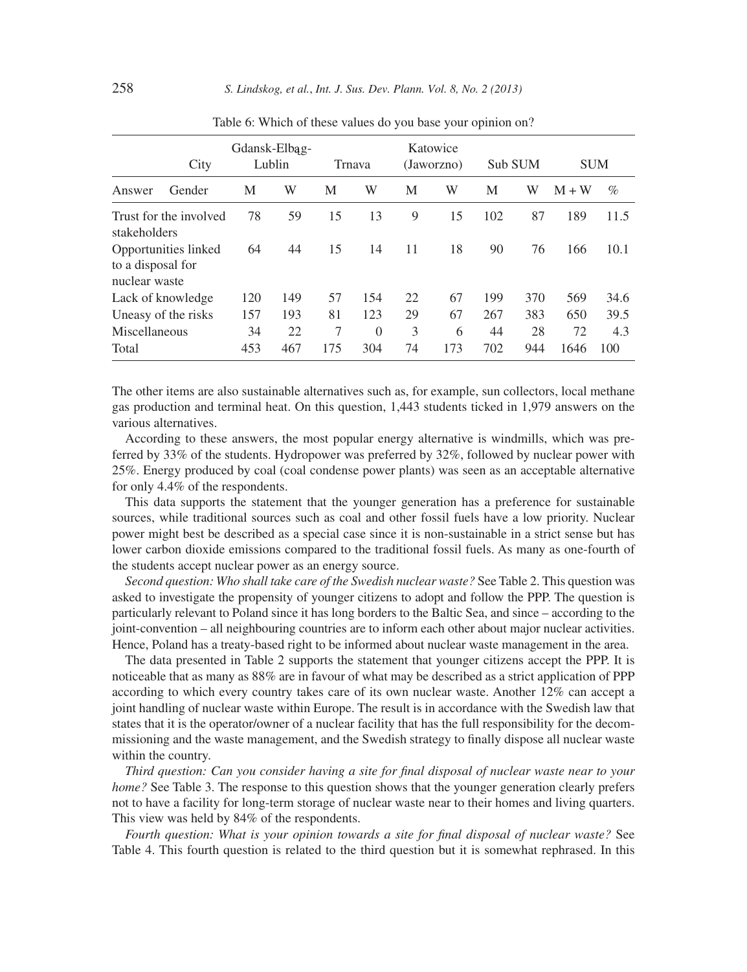|                                    | City                   |     | Gdansk-Elbag-<br>Lublin |     | Trnava   |    | Katowice<br>(Jaworzno) |     | Sub SUM | <b>SUM</b> |      |
|------------------------------------|------------------------|-----|-------------------------|-----|----------|----|------------------------|-----|---------|------------|------|
| Answer                             | Gender                 | М   | W                       | M   | W        | M  | W                      | M   | W       | $M+W$      | $\%$ |
| stakeholders                       | Trust for the involved | 78  | 59                      | 15  | 13       | 9  | 15                     | 102 | 87      | 189        | 11.5 |
| to a disposal for<br>nuclear waste | Opportunities linked   | 64  | 44                      | 15  | 14       | 11 | 18                     | 90  | 76      | 166        | 10.1 |
| Lack of knowledge                  |                        | 120 | 149                     | 57  | 154      | 22 | 67                     | 199 | 370     | 569        | 34.6 |
| Uneasy of the risks                |                        | 157 | 193                     | 81  | 123      | 29 | 67                     | 267 | 383     | 650        | 39.5 |
| Miscellaneous                      |                        | 34  | 22                      | 7   | $\Omega$ | 3  | 6                      | 44  | 28      | 72         | 4.3  |
| Total                              |                        | 453 | 467                     | 175 | 304      | 74 | 173                    | 702 | 944     | 1646       | 100  |

Table 6: Which of these values do you base your opinion on?

The other items are also sustainable alternatives such as, for example, sun collectors, local methane gas production and terminal heat. On this question, 1,443 students ticked in 1,979 answers on the various alternatives.

According to these answers, the most popular energy alternative is windmills, which was preferred by 33% of the students. Hydropower was preferred by 32%, followed by nuclear power with 25%. Energy produced by coal (coal condense power plants) was seen as an acceptable alternative for only 4.4% of the respondents.

This data supports the statement that the younger generation has a preference for sustainable sources, while traditional sources such as coal and other fossil fuels have a low priority. Nuclear power might best be described as a special case since it is non-sustainable in a strict sense but has lower carbon dioxide emissions compared to the traditional fossil fuels. As many as one-fourth of the students accept nuclear power as an energy source.

*Second question: Who shall take care of the Swedish nuclear waste?* See Table 2. This question was asked to investigate the propensity of younger citizens to adopt and follow the PPP. The question is particularly relevant to Poland since it has long borders to the Baltic Sea, and since – according to the joint-convention – all neighbouring countries are to inform each other about major nuclear activities. Hence, Poland has a treaty-based right to be informed about nuclear waste management in the area.

The data presented in Table 2 supports the statement that younger citizens accept the PPP. It is noticeable that as many as 88% are in favour of what may be described as a strict application of PPP according to which every country takes care of its own nuclear waste. Another 12% can accept a joint handling of nuclear waste within Europe. The result is in accordance with the Swedish law that states that it is the operator/owner of a nuclear facility that has the full responsibility for the decommissioning and the waste management, and the Swedish strategy to finally dispose all nuclear waste within the country.

*Third question: Can you consider having a site for final disposal of nuclear waste near to your home?* See Table 3. The response to this question shows that the younger generation clearly prefers not to have a facility for long-term storage of nuclear waste near to their homes and living quarters. This view was held by 84% of the respondents.

Fourth question: What is your opinion towards a site for final disposal of nuclear waste? See Table 4. This fourth question is related to the third question but it is somewhat rephrased. In this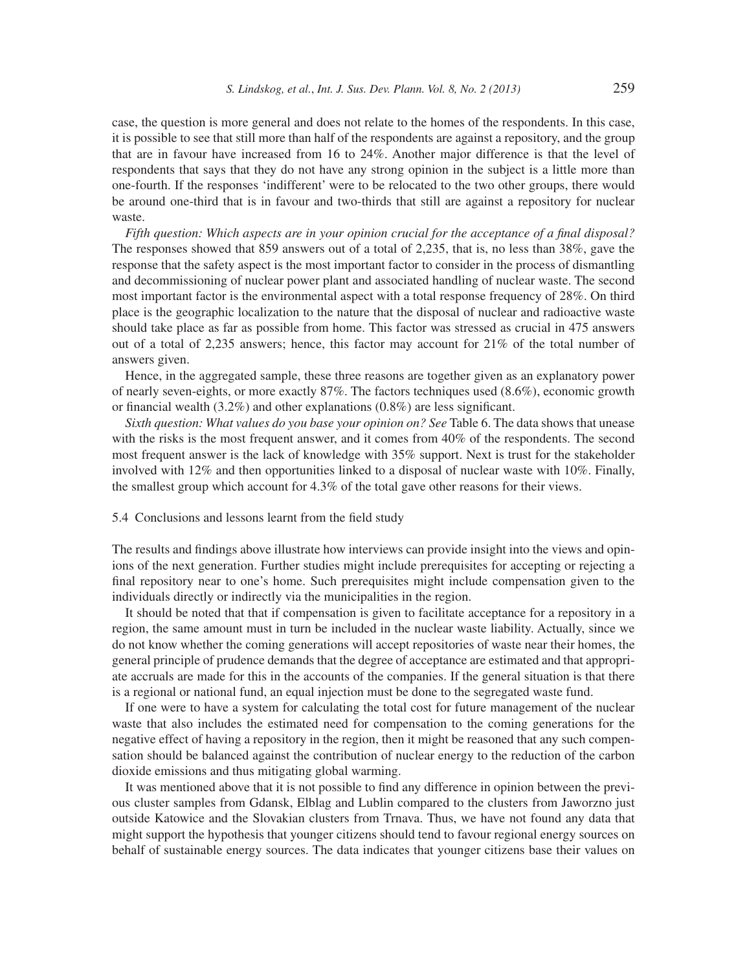case, the question is more general and does not relate to the homes of the respondents. In this case, it is possible to see that still more than half of the respondents are against a repository, and the group that are in favour have increased from 16 to 24%. Another major difference is that the level of respondents that says that they do not have any strong opinion in the subject is a little more than one-fourth. If the responses 'indifferent' were to be relocated to the two other groups, there would be around one-third that is in favour and two-thirds that still are against a repository for nuclear waste.

*Fifth question: Which aspects are in your opinion crucial for the acceptance of a final disposal?* The responses showed that 859 answers out of a total of 2,235, that is, no less than 38%, gave the response that the safety aspect is the most important factor to consider in the process of dismantling and decommissioning of nuclear power plant and associated handling of nuclear waste. The second most important factor is the environmental aspect with a total response frequency of 28%. On third place is the geographic localization to the nature that the disposal of nuclear and radioactive waste should take place as far as possible from home. This factor was stressed as crucial in 475 answers out of a total of 2,235 answers; hence, this factor may account for 21% of the total number of answers given.

Hence, in the aggregated sample, these three reasons are together given as an explanatory power of nearly seven-eights, or more exactly 87%. The factors techniques used (8.6%), economic growth or financial wealth  $(3.2\%)$  and other explanations  $(0.8\%)$  are less significant.

*Sixth question: What values do you base your opinion on? See* Table 6. The data shows that unease with the risks is the most frequent answer, and it comes from 40% of the respondents. The second most frequent answer is the lack of knowledge with 35% support. Next is trust for the stakeholder involved with 12% and then opportunities linked to a disposal of nuclear waste with 10%. Finally, the smallest group which account for 4.3% of the total gave other reasons for their views.

### 5.4 Conclusions and lessons learnt from the field study

The results and findings above illustrate how interviews can provide insight into the views and opinions of the next generation. Further studies might include prerequisites for accepting or rejecting a final repository near to one's home. Such prerequisites might include compensation given to the individuals directly or indirectly via the municipalities in the region.

It should be noted that that if compensation is given to facilitate acceptance for a repository in a region, the same amount must in turn be included in the nuclear waste liability. Actually, since we do not know whether the coming generations will accept repositories of waste near their homes, the general principle of prudence demands that the degree of acceptance are estimated and that appropriate accruals are made for this in the accounts of the companies. If the general situation is that there is a regional or national fund, an equal injection must be done to the segregated waste fund.

If one were to have a system for calculating the total cost for future management of the nuclear waste that also includes the estimated need for compensation to the coming generations for the negative effect of having a repository in the region, then it might be reasoned that any such compensation should be balanced against the contribution of nuclear energy to the reduction of the carbon dioxide emissions and thus mitigating global warming.

It was mentioned above that it is not possible to find any difference in opinion between the previous cluster samples from Gdansk, Elblag and Lublin compared to the clusters from Jaworzno just outside Katowice and the Slovakian clusters from Trnava. Thus, we have not found any data that might support the hypothesis that younger citizens should tend to favour regional energy sources on behalf of sustainable energy sources. The data indicates that younger citizens base their values on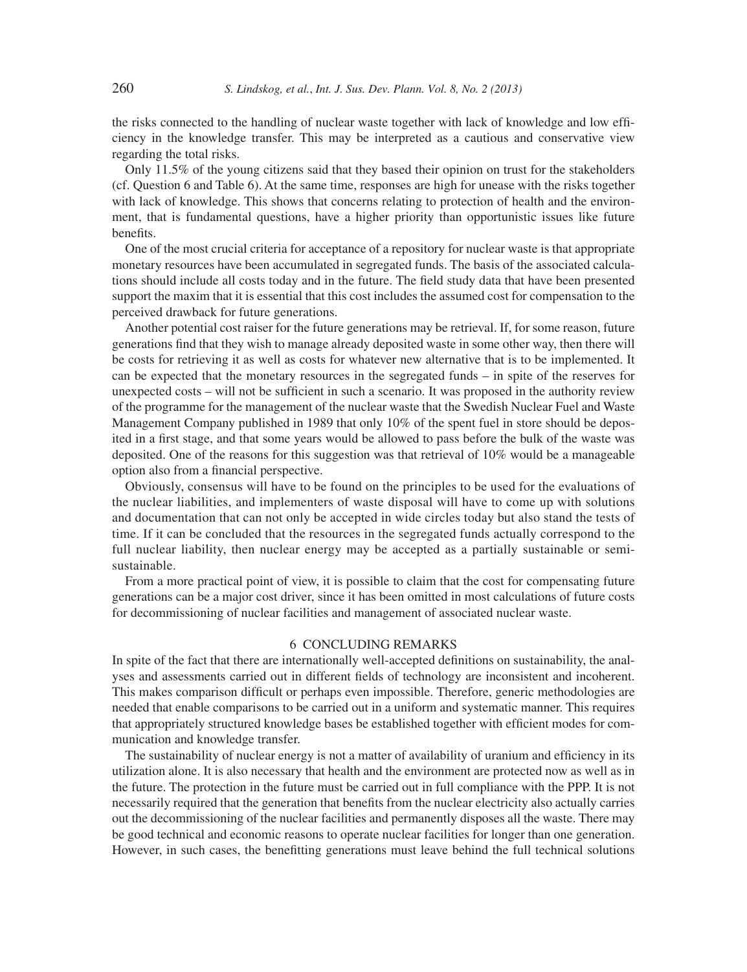the risks connected to the handling of nuclear waste together with lack of knowledge and low efficiency in the knowledge transfer. This may be interpreted as a cautious and conservative view regarding the total risks.

Only 11.5% of the young citizens said that they based their opinion on trust for the stakeholders (cf. Question 6 and Table 6). At the same time, responses are high for unease with the risks together with lack of knowledge. This shows that concerns relating to protection of health and the environment, that is fundamental questions, have a higher priority than opportunistic issues like future benefits.

One of the most crucial criteria for acceptance of a repository for nuclear waste is that appropriate monetary resources have been accumulated in segregated funds. The basis of the associated calculations should include all costs today and in the future. The field study data that have been presented support the maxim that it is essential that this cost includes the assumed cost for compensation to the perceived drawback for future generations.

Another potential cost raiser for the future generations may be retrieval. If, for some reason, future generations find that they wish to manage already deposited waste in some other way, then there will be costs for retrieving it as well as costs for whatever new alternative that is to be implemented. It can be expected that the monetary resources in the segregated funds – in spite of the reserves for unexpected costs – will not be sufficient in such a scenario. It was proposed in the authority review of the programme for the management of the nuclear waste that the Swedish Nuclear Fuel and Waste Management Company published in 1989 that only 10% of the spent fuel in store should be deposited in a first stage, and that some years would be allowed to pass before the bulk of the waste was deposited. One of the reasons for this suggestion was that retrieval of 10% would be a manageable option also from a financial perspective.

Obviously, consensus will have to be found on the principles to be used for the evaluations of the nuclear liabilities, and implementers of waste disposal will have to come up with solutions and documentation that can not only be accepted in wide circles today but also stand the tests of time. If it can be concluded that the resources in the segregated funds actually correspond to the full nuclear liability, then nuclear energy may be accepted as a partially sustainable or semisustainable.

From a more practical point of view, it is possible to claim that the cost for compensating future generations can be a major cost driver, since it has been omitted in most calculations of future costs for decommissioning of nuclear facilities and management of associated nuclear waste.

### 6 CONCLUDING REMARKS

In spite of the fact that there are internationally well-accepted definitions on sustainability, the analyses and assessments carried out in different fields of technology are inconsistent and incoherent. This makes comparison difficult or perhaps even impossible. Therefore, generic methodologies are needed that enable comparisons to be carried out in a uniform and systematic manner. This requires that appropriately structured knowledge bases be established together with efficient modes for communication and knowledge transfer.

The sustainability of nuclear energy is not a matter of availability of uranium and efficiency in its utilization alone. It is also necessary that health and the environment are protected now as well as in the future. The protection in the future must be carried out in full compliance with the PPP. It is not necessarily required that the generation that benefits from the nuclear electricity also actually carries out the decommissioning of the nuclear facilities and permanently disposes all the waste. There may be good technical and economic reasons to operate nuclear facilities for longer than one generation. However, in such cases, the benefitting generations must leave behind the full technical solutions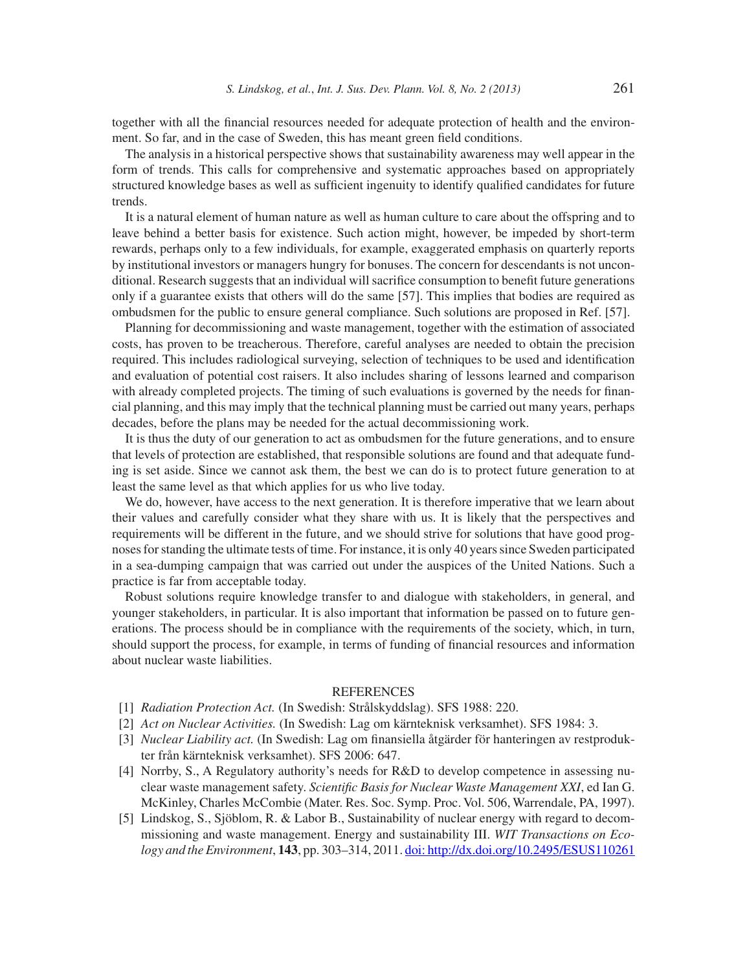together with all the financial resources needed for adequate protection of health and the environment. So far, and in the case of Sweden, this has meant green field conditions.

The analysis in a historical perspective shows that sustainability awareness may well appear in the form of trends. This calls for comprehensive and systematic approaches based on appropriately structured knowledge bases as well as sufficient ingenuity to identify qualified candidates for future trends.

It is a natural element of human nature as well as human culture to care about the offspring and to leave behind a better basis for existence. Such action might, however, be impeded by short-term rewards, perhaps only to a few individuals, for example, exaggerated emphasis on quarterly reports by institutional investors or managers hungry for bonuses. The concern for descendants is not unconditional. Research suggests that an individual will sacrifice consumption to benefit future generations only if a guarantee exists that others will do the same [57]. This implies that bodies are required as ombudsmen for the public to ensure general compliance. Such solutions are proposed in Ref. [57].

Planning for decommissioning and waste management, together with the estimation of associated costs, has proven to be treacherous. Therefore, careful analyses are needed to obtain the precision required. This includes radiological surveying, selection of techniques to be used and identification and evaluation of potential cost raisers. It also includes sharing of lessons learned and comparison with already completed projects. The timing of such evaluations is governed by the needs for financial planning, and this may imply that the technical planning must be carried out many years, perhaps decades, before the plans may be needed for the actual decommissioning work.

It is thus the duty of our generation to act as ombudsmen for the future generations, and to ensure that levels of protection are established, that responsible solutions are found and that adequate funding is set aside. Since we cannot ask them, the best we can do is to protect future generation to at least the same level as that which applies for us who live today.

We do, however, have access to the next generation. It is therefore imperative that we learn about their values and carefully consider what they share with us. It is likely that the perspectives and requirements will be different in the future, and we should strive for solutions that have good prognoses for standing the ultimate tests of time. For instance, it is only 40 years since Sweden participated in a sea-dumping campaign that was carried out under the auspices of the United Nations. Such a practice is far from acceptable today.

Robust solutions require knowledge transfer to and dialogue with stakeholders, in general, and younger stakeholders, in particular. It is also important that information be passed on to future generations. The process should be in compliance with the requirements of the society, which, in turn, should support the process, for example, in terms of funding of financial resources and information about nuclear waste liabilities.

### **REFERENCES**

- [1] *Radiation Protection Act.* (In Swedish: Strålskyddslag). SFS 1988: 220.
- [2] *Act on Nuclear Activities.* (In Swedish: Lag om kärnteknisk verksamhet). SFS 1984: 3.
- [3] *Nuclear Liability act.* (In Swedish: Lag om finansiella åtgärder för hanteringen av restprodukter från kärnteknisk verksamhet). SFS 2006: 647.
- [4] Norrby, S., A Regulatory authority's needs for R&D to develop competence in assessing nuclear waste management safety. *Scientific Basis for Nuclear Waste Management XXI*, ed Ian G. McKinley, Charles McCombie (Mater. Res. Soc. Symp. Proc. Vol. 506, Warrendale, PA, 1997).
- [5] Lindskog, S., Sjöblom, R. & Labor B., Sustainability of nuclear energy with regard to decommissioning and waste management. Energy and sustainability III. *WIT Transactions on Ecology and the Environment*, **143**, pp. 303–314, 2011. doi: http://dx.doi.org/10.2495/ESUS110261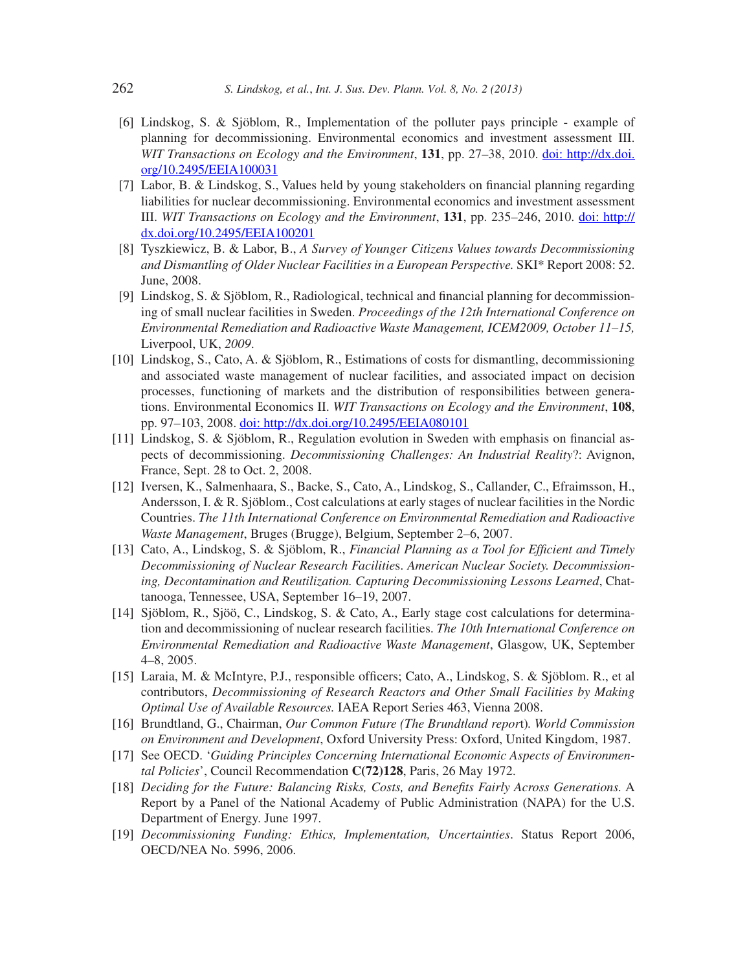- [6] Lindskog, S. & Sjöblom, R., Implementation of the polluter pays principle example of planning for decommissioning. Environmental economics and investment assessment III. *WIT Transactions on Ecology and the Environment*, **131**, pp. 27–38, 2010. doi: http://dx.doi. org/10.2495/EEIA100031
- [7] Labor, B. & Lindskog, S., Values held by young stakeholders on financial planning regarding liabilities for nuclear decommissioning. Environmental economics and investment assessment III. *WIT Transactions on Ecology and the Environment*, **131**, pp. 235–246, 2010. doi: http:// dx.doi.org/10.2495/EEIA100201
- [8] Tyszkiewicz, B. & Labor, B., *A Survey of Younger Citizens Values towards Decommissioning and Dismantling of Older Nuclear Facilities in a European Perspective.* SKI\* Report 2008: 52. June, 2008.
- [9] Lindskog, S. & Sjöblom, R., Radiological, technical and financial planning for decommissioning of small nuclear facilities in Sweden. *Proceedings of the 12th International Conference on Environmental Remediation and Radioactive Waste Management, ICEM2009, October 11–15,* Liverpool, UK, *2009*.
- [10] Lindskog, S., Cato, A. & Sjöblom, R., Estimations of costs for dismantling, decommissioning and associated waste management of nuclear facilities, and associated impact on decision processes, functioning of markets and the distribution of responsibilities between generations. Environmental Economics II. *WIT Transactions on Ecology and the Environment*, **108**, pp. 97–103, 2008. doi: http://dx.doi.org/10.2495/EEIA080101
- $[11]$  Lindskog, S. & Sjöblom, R., Regulation evolution in Sweden with emphasis on financial aspects of decommissioning. *Decommissioning Challenges: An Industrial Reality*?: Avignon, France, Sept. 28 to Oct. 2, 2008.
- [12] Iversen, K., Salmenhaara, S., Backe, S., Cato, A., Lindskog, S., Callander, C., Efraimsson, H., Andersson, I. & R. Sjöblom., Cost calculations at early stages of nuclear facilities in the Nordic Countries. *The 11th International Conference on Environmental Remediation and Radioactive Waste Management*, Bruges (Brugge), Belgium, September 2–6, 2007.
- [13] Cato, A., Lindskog, S. & Sjöblom, R., *Financial Planning as a Tool for Efficient and Timely Decommissioning of Nuclear Research Facilitie*s. *American Nuclear Society. Decommissioning, Decontamination and Reutilization. Capturing Decommissioning Lessons Learned*, Chattanooga, Tennessee, USA, September 16–19, 2007.
- [14] Sjöblom, R., Sjöö, C., Lindskog, S. & Cato, A., Early stage cost calculations for determination and decommissioning of nuclear research facilities. *The 10th International Conference on Environmental Remediation and Radioactive Waste Management*, Glasgow, UK, September 4–8, 2005.
- [15] Laraia, M. & McIntyre, P.J., responsible officers; Cato, A., Lindskog, S. & Sjöblom. R., et al contributors, *Decommissioning of Research Reactors and Other Small Facilities by Making Optimal Use of Available Resources.* IAEA Report Series 463, Vienna 2008.
- [16] Brundtland, G., Chairman, *Our Common Future (The Brundtland repor*t)*. World Commission on Environment and Development*, Oxford University Press: Oxford, United Kingdom, 1987.
- [17] See OECD. '*Guiding Principles Concerning International Economic Aspects of Environmental Policies*', Council Recommendation **C(72)128**, Paris, 26 May 1972.
- [18] *Deciding for the Future: Balancing Risks, Costs, and Benefits Fairly Across Generations.* A Report by a Panel of the National Academy of Public Administration (NAPA) for the U.S. Department of Energy. June 1997.
- [19] *Decommissioning Funding: Ethics, Implementation, Uncertainties*. Status Report 2006, OECD/NEA No. 5996, 2006.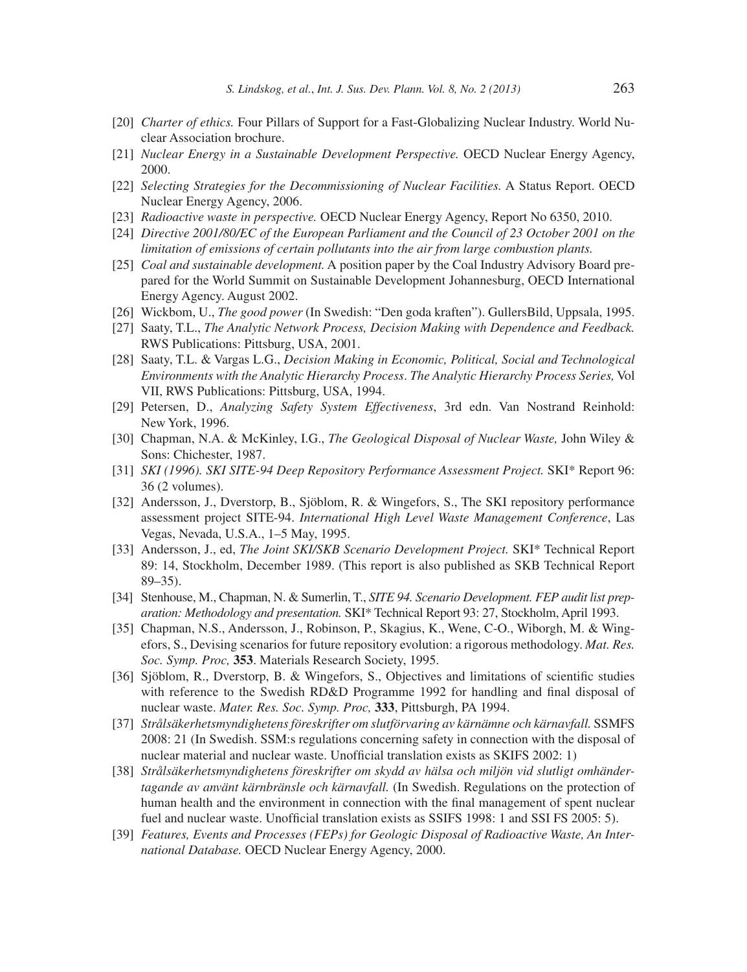- [20] *Charter of ethics.* Four Pillars of Support for a Fast-Globalizing Nuclear Industry. World Nuclear Association brochure.
- [21] *Nuclear Energy in a Sustainable Development Perspective.* OECD Nuclear Energy Agency, 2000.
- [22] *Selecting Strategies for the Decommissioning of Nuclear Facilities.* A Status Report. OECD Nuclear Energy Agency, 2006.
- [23] *Radioactive waste in perspective.* OECD Nuclear Energy Agency, Report No 6350, 2010.
- [24] *Directive 2001/80/EC of the European Parliament and the Council of 23 October 2001 on the limitation of emissions of certain pollutants into the air from large combustion plants.*
- [25] *Coal and sustainable development.* A position paper by the Coal Industry Advisory Board prepared for the World Summit on Sustainable Development Johannesburg, OECD International Energy Agency. August 2002.
- [26] Wickbom, U., *The good power* (In Swedish: "Den goda kraften"). GullersBild, Uppsala, 1995.
- [27] Saaty, T.L., *The Analytic Network Process, Decision Making with Dependence and Feedback.* RWS Publications: Pittsburg, USA, 2001.
- [28] Saaty, T.L. & Vargas L.G., *Decision Making in Economic, Political, Social and Technological Environments with the Analytic Hierarchy Process*. *The Analytic Hierarchy Process Series,* Vol VII, RWS Publications: Pittsburg, USA, 1994.
- [29] Petersen, D., *Analyzing Safety System Effectiveness*, 3rd edn. Van Nostrand Reinhold: New York, 1996.
- [30] Chapman, N.A. & McKinley, I.G., *The Geological Disposal of Nuclear Waste,* John Wiley & Sons: Chichester, 1987.
- [31] *SKI (1996). SKI SITE-94 Deep Repository Performance Assessment Project.* SKI\* Report 96: 36 (2 volumes).
- [32] Andersson, J., Dverstorp, B., Sjöblom, R. & Wingefors, S., The SKI repository performance assessment project SITE-94. *International High Level Waste Management Conference*, Las Vegas, Nevada, U.S.A., 1–5 May, 1995.
- [33] Andersson, J., ed, *The Joint SKI/SKB Scenario Development Project.* SKI\* Technical Report 89: 14, Stockholm, December 1989. (This report is also published as SKB Technical Report 89–35).
- [34] Stenhouse, M., Chapman, N. & Sumerlin, T., *SITE 94. Scenario Development. FEP audit list preparation: Methodology and presentation.* SKI\* Technical Report 93: 27, Stockholm, April 1993.
- [35] Chapman, N.S., Andersson, J., Robinson, P., Skagius, K., Wene, C-O., Wiborgh, M. & Wingefors, S., Devising scenarios for future repository evolution: a rigorous methodology. *Mat. Res. Soc. Symp. Proc,* **353**. Materials Research Society, 1995.
- [36] Sjöblom, R., Dverstorp, B. & Wingefors, S., Objectives and limitations of scientific studies with reference to the Swedish RD&D Programme 1992 for handling and final disposal of nuclear waste. *Mater. Res. Soc. Symp. Proc,* **333**, Pittsburgh, PA 1994.
- [37] *Strålsäkerhetsmyndighetens föreskrifter om slutförvaring av kärnämne och kärnavfall.* SSMFS 2008: 21 (In Swedish. SSM:s regulations concerning safety in connection with the disposal of nuclear material and nuclear waste. Unofficial translation exists as SKIFS 2002: 1)
- [38] *Strålsäkerhetsmyndighetens föreskrifter om skydd av hälsa och miljön vid slutligt omhändertagande av använt kärnbränsle och kärnavfall.* (In Swedish. Regulations on the protection of human health and the environment in connection with the final management of spent nuclear fuel and nuclear waste. Unofficial translation exists as SSIFS 1998: 1 and SSI FS 2005: 5).
- [39] *Features, Events and Processes (FEPs) for Geologic Disposal of Radioactive Waste, An International Database.* OECD Nuclear Energy Agency, 2000.